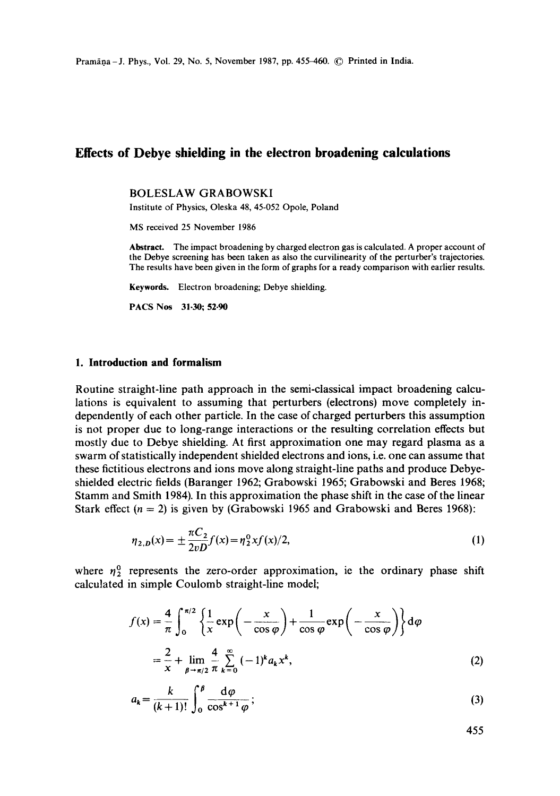# **Effects of Debye shielding in the electron broadening calculations**

### **BOLESLAW** GRABOWSKI

Institute of Physics, Oleska 48, 45-052 Opole, Poland

MS received 25 November 1986

**Abstract.** The impact broadening by charged electron gas is calculated. A proper account of the Debye screening has been taken as also the curvilinearity of the perturber's trajectories. The results have been given in the form of graphs for a ready comparison with earlier results.

**Keywords.** Electron broadening; Debye shielding.

PACS Nos 31.30; **52.90** 

# **1. Introduction and formalism**

Routine straight-line path approach in the semi-classical impact broadening calculations is equivalent to assuming that perturbers (electrons) move completely independently of each other particle. In the case of charged perturbers this assumption is not proper due to long-range interactions or the resulting correlation effects but mostly due to Debye shielding. At first approximation one may regard plasma as a swarm of statistically independent shielded electrons and ions, i.e. one can assume that these fictitious electrons and ions move along straight-line paths and produce Debyeshielded electric fields (Baranger 1962; Grabowski 1965; Grabowski and Beres 1968; Stamm and Smith 1984). In this approximation the phase shift in the case of the linear Stark effect  $(n = 2)$  is given by (Grabowski 1965 and Grabowski and Beres 1968):

$$
\eta_{2,D}(x) = \pm \frac{\pi C_2}{2vD} f(x) = \eta_2^0 x f(x)/2,
$$
\n(1)

where  $\eta_2^0$  represents the zero-order approximation, ie the ordinary phase shift calculated in simple Coulomb straight-line model;

$$
f(x) = \frac{4}{\pi} \int_0^{\pi/2} \left\{ \frac{1}{x} \exp\left(-\frac{x}{\cos \varphi}\right) + \frac{1}{\cos \varphi} \exp\left(-\frac{x}{\cos \varphi}\right) \right\} d\varphi
$$
  
=  $\frac{2}{x} + \lim_{\beta \to \pi/2} \frac{4}{\pi} \sum_{k=0}^{\infty} (-1)^k a_k x^k,$  (2)

$$
a_k = \frac{k}{(k+1)!} \int_0^{\beta} \frac{\mathrm{d}\varphi}{\cos^{k+1}\varphi};\tag{3}
$$

455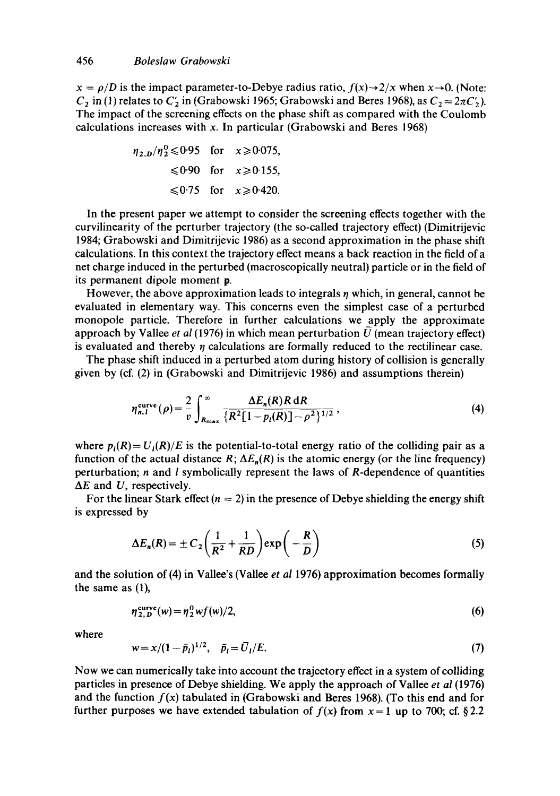$x = \rho/D$  is the impact parameter-to-Debye radius ratio,  $f(x) \rightarrow 2/x$  when  $x \rightarrow 0$ . (Note:  $C_2$  in (1) relates to  $C_2$  in (Grabowski 1965; Grabowski and Beres 1968), as  $C_2 = 2\pi C_2'$ ). The impact of the screening effects on the phase shift as compared with the Coulomb calculations increases with x. In particular (Grabowski and Beres 1968)

$$
\eta_{2,D}/\eta_2^0 \leq 0.95 \quad \text{for} \quad x \geq 0.075,
$$
  

$$
\leq 0.90 \quad \text{for} \quad x \geq 0.155,
$$
  

$$
\leq 0.75 \quad \text{for} \quad x \geq 0.420.
$$

In the present paper we attempt to consider the screening effects together with the curvilinearity of the perturber trajectory (the so-called trajectory effect) (Dimitrijevic 1984; Grabowski and Dimitrijevic 1986) as a second approximation in the phase shift calculations. In this context the trajectory effect means a back reaction in the field of a net charge induced in the perturbed (macroscopically neutral) particle or in the field of its permanent dipole moment p.

However, the above approximation leads to integrals  $\eta$  which, in general, cannot be evaluated in elementary way. This concerns even the simplest case of a perturbed monopole particle. Therefore in further calculations we apply the approximate approach by Vallee *et al* (1976) in which mean perturbation  $\bar{U}$  (mean trajectory effect) is evaluated and thereby  $\eta$  calculations are formally reduced to the rectilinear case.

The phase shift induced in a perturbed atom during history of collision is generally given by (cf. (2) in (Grabowski and Dimitrijevic 1986) and assumptions therein)

$$
\eta_{n,1}^{\text{curve}}(\rho) = \frac{2}{v} \int_{R_{\text{max}}}^{\infty} \frac{\Delta E_n(R) R \, \text{d}R}{\{R^2 [1 - p_1(R)] - \rho^2\}^{1/2}},\tag{4}
$$

where  $p_l(R) = U_l(R)/E$  is the potential-to-total energy ratio of the colliding pair as a function of the actual distance  $R$ ;  $\Delta E_n(R)$  is the atomic energy (or the line frequency) perturbation;  $n$  and  $l$  symbolically represent the laws of  $R$ -dependence of quantities  $\Delta E$  and U, respectively.

For the linear Stark effect ( $n = 2$ ) in the presence of Debye shielding the energy shift is expressed by

$$
\Delta E_n(R) = \pm C_2 \left( \frac{1}{R^2} + \frac{1}{RD} \right) \exp \left( -\frac{R}{D} \right) \tag{5}
$$

and the solution of (4) in Vallee's (Vallee *et al* 1976) approximation becomes formally the same as (1),

$$
\eta_{2,D}^{\text{curve}}(w) = \eta_2^0 w f(w)/2,\tag{6}
$$

where

$$
w = x/(1 - \bar{p}_l)^{1/2}, \quad \bar{p}_l = \bar{U}_l/E.
$$
 (7)

Now we can numerically take into account the trajectory effect in a system of colliding particles in presence of Debye shielding. We apply the approach of Vallee *et al* (1976) and the function *f(x)* tabulated in (Grabowski and Beres 1968). (To this end and for further purposes we have extended tabulation of  $f(x)$  from  $x = 1$  up to 700; cf. § 2.2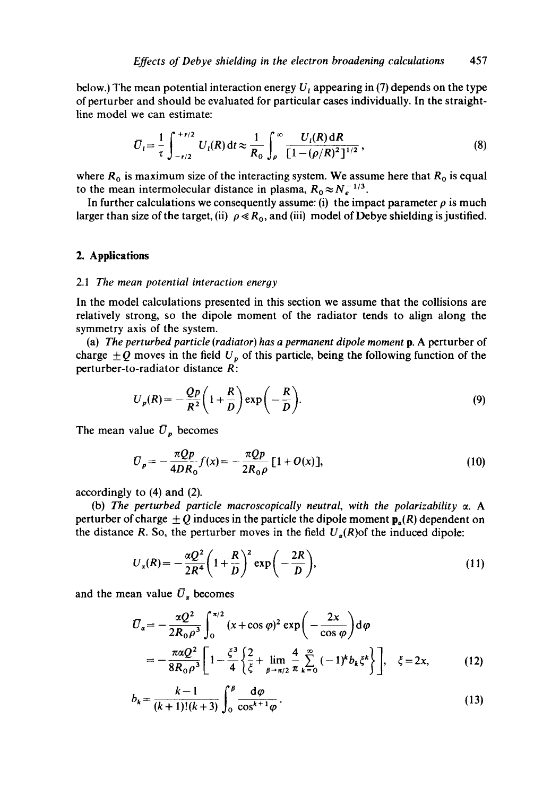below.) The mean potential interaction energy  $U_1$  appearing in (7) depends on the type of perturber and should be evaluated for particular cases individually. In the straightline model we can estimate:

$$
\overline{U}_l = \frac{1}{\tau} \int_{-\tau/2}^{\tau/2} U_l(R) \, \mathrm{d}t \approx \frac{1}{R_0} \int_{\rho}^{\infty} \frac{U_l(R) \, \mathrm{d}R}{[1 - (\rho/R)^2]^{1/2}},\tag{8}
$$

where  $R_0$  is maximum size of the interacting system. We assume here that  $R_0$  is equal to the mean intermolecular distance in plasma,  $R_0 \approx N_e^{-1/3}$ .

In further calculations we consequently assume: (i) the impact parameter  $\rho$  is much larger than size of the target, (ii)  $\rho \ll R_0$ , and (iii) model of Debye shielding is justified.

## **2. Applications**

# 2.1 *The mean potential interaction energy*

In the model calculations presented in this section we assume that the collisions are relatively strong, so the dipole moment of the radiator tends to align along the symmetry axis of the system.

(a) *The perturbed particle (radiator) has a permanent dipole moment* p. A perturber of charge  $\pm Q$  moves in the field  $U_p$  of this particle, being the following function of the perturber-to-radiator distance R:

$$
U_p(R) = -\frac{Qp}{R^2} \left( 1 + \frac{R}{D} \right) \exp\left( -\frac{R}{D} \right).
$$
 (9)

The mean value  $\overline{U}_p$  becomes

$$
\overline{U}_p = -\frac{\pi Q p}{4DR_0} f(x) = -\frac{\pi Q p}{2R_0 \rho} [1 + O(x)],
$$
\n(10)

accordingly to (4) and (2).

(b) *The perturbed particle macroscopically neutral, with the polarizability*  $\alpha$ *.* A perturber of charge  $\pm Q$  induces in the particle the dipole moment  $p<sub>e</sub>(R)$  dependent on the distance R. So, the perturber moves in the field  $U_{\alpha}(R)$  of the induced dipole:

$$
U_{\alpha}(R) = -\frac{\alpha Q^2}{2R^4} \left( 1 + \frac{R}{D} \right)^2 \exp\left( -\frac{2R}{D} \right),\tag{11}
$$

and the mean value  $\overline{U}_{\alpha}$  becomes

$$
\overline{U}_{\alpha} = -\frac{\alpha Q^2}{2R_0 \rho^3} \int_0^{\pi/2} (x + \cos \varphi)^2 \exp\left(-\frac{2x}{\cos \varphi}\right) d\varphi
$$
  
=  $-\frac{\pi \alpha Q^2}{8R_0 \rho^3} \left[1 - \frac{\xi^3}{4} \left\{\frac{2}{\xi} + \lim_{\beta \to \pi/2} \frac{4}{\pi} \sum_{k=0}^{\infty} (-1)^k b_k \xi^k \right\} \right], \quad \xi = 2x,$  (12)

$$
b_k = \frac{k-1}{(k+1)!(k+3)} \int_0^{\beta} \frac{d\varphi}{\cos^{k+1}\varphi}.
$$
 (13)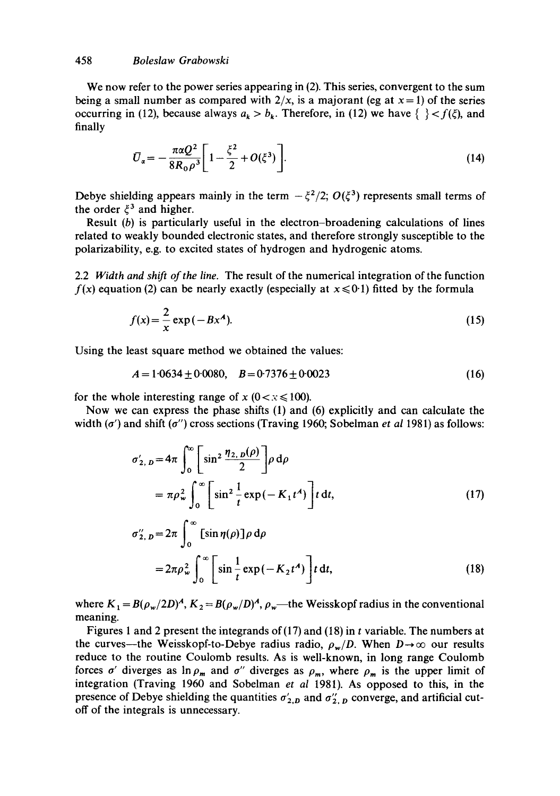# 458 *Boleslaw Grabowski*

We now refer to the power series appearing in (2). This series, convergent to the sum being a small number as compared with  $2/x$ , is a majorant (eg at  $x = 1$ ) of the series occurring in (12), because always  $a_k > b_k$ . Therefore, in (12) we have  $\{\ \} < f(\xi)$ , and finally

$$
\bar{U}_\alpha = -\frac{\pi \alpha Q^2}{8R_0 \rho^3} \left[ 1 - \frac{\xi^2}{2} + O(\xi^3) \right].
$$
 (14)

Debye shielding appears mainly in the term  $-\xi^2/2$ ;  $O(\xi^3)$  represents small terms of the order  $\xi^3$  and higher.

Result (b) is particularly useful in the electron-broadening calculations of lines related to weakly bounded electronic states, and therefore strongly susceptible to the polarizability, e.g. to excited states of hydrogen and hydrogenic atoms.

2.2 *Width and shift of the line.* The result of the numerical integration of the function *f(x)* equation (2) can be nearly exactly (especially at  $x \le 0.1$ ) fitted by the formula

$$
f(x) = \frac{2}{x} \exp(-Bx^A). \tag{15}
$$

Using the least square method we obtained the values:

$$
A = 1.0634 \pm 0.0080, \quad B = 0.7376 \pm 0.0023 \tag{16}
$$

for the whole interesting range of  $x (0 < x \le 100)$ .

Now we can express the phase shifts (1) and (6) explicitly and can calculate the width  $(\sigma')$  and shift  $(\sigma'')$  cross sections (Traving 1960; Sobelman *et al* 1981) as follows:

$$
\sigma'_{2, D} = 4\pi \int_0^\infty \left[ \sin^2 \frac{\eta_{2, D}(\rho)}{2} \right] \rho \, d\rho
$$
  
=  $\pi \rho_w^2 \int_0^\infty \left[ \sin^2 \frac{1}{t} \exp(-K_1 t^A) \right] t \, dt,$  (17)

$$
\sigma_{2, p}^{\prime\prime} = 2\pi \int_0^\infty \left[ \sin \eta(\rho) \right] \rho \, d\rho
$$
  
=  $2\pi \rho_w^2 \int_0^\infty \left[ \sin \frac{1}{t} \exp(-K_2 t^A) \right] t \, dt,$  (18)

where  $K_1 = B(\rho_w/2D)^A$ ,  $K_2 = B(\rho_w/D)^A$ ,  $\rho_w$ —the Weisskopf radius in the conventional meaning.

Figures 1 and 2 present the integrands of (17) and (18) in t variable. The numbers at the curves—the Weisskopf-to-Debye radius radio,  $\rho_w/D$ . When  $D\rightarrow\infty$  our results reduce to the routine Coulomb results. As is well-known, in long range Coulomb forces  $\sigma'$  diverges as  $\ln \rho_m$  and  $\sigma''$  diverges as  $\rho_m$ , where  $\rho_m$  is the upper limit of integration (Traving 1960 and Sobelman *et al* 1981). As opposed to this, in the presence of Debye shielding the quantities  $\sigma'_{2,D}$  and  $\sigma''_{2,D}$  converge, and artificial cutoff of the integrals is unnecessary.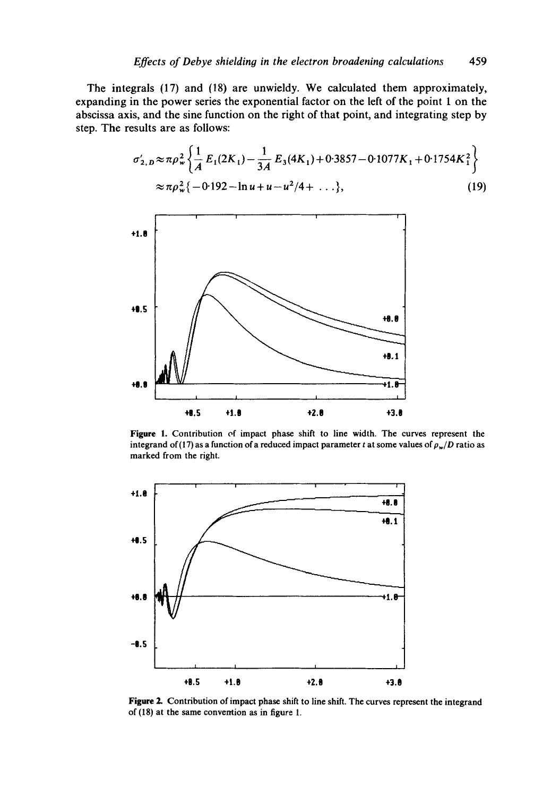The integrals (17) and (18) are unwieldy. We calculated them approximately, expanding in the power series the exponential factor on the left of the point 1 on the abscissa axis, and the sine function on the right of that point, and integrating step by step. The results are as follows:

$$
\sigma'_{2,D} \approx \pi \rho_w^2 \left\{ \frac{1}{A} E_1(2K_1) - \frac{1}{3A} E_3(4K_1) + 0.3857 - 0.1077K_1 + 0.1754K_1^2 \right\}
$$
  
 
$$
\approx \pi \rho_w^2 \left\{ -0.192 - \ln u + u - u^2/4 + \dots \right\},
$$
 (19)



**Figure** 1. Contribution of impact phase shift to line width. The curves represent the integrand of (17) as a function of a reduced impact parameter t at some values of  $\rho_w/D$  ratio as marked from the right.



**Figure** 2. Contribution of impact phase shift to line shift. The curves represent the integrand of  $(18)$  at the same convention as in figure 1.